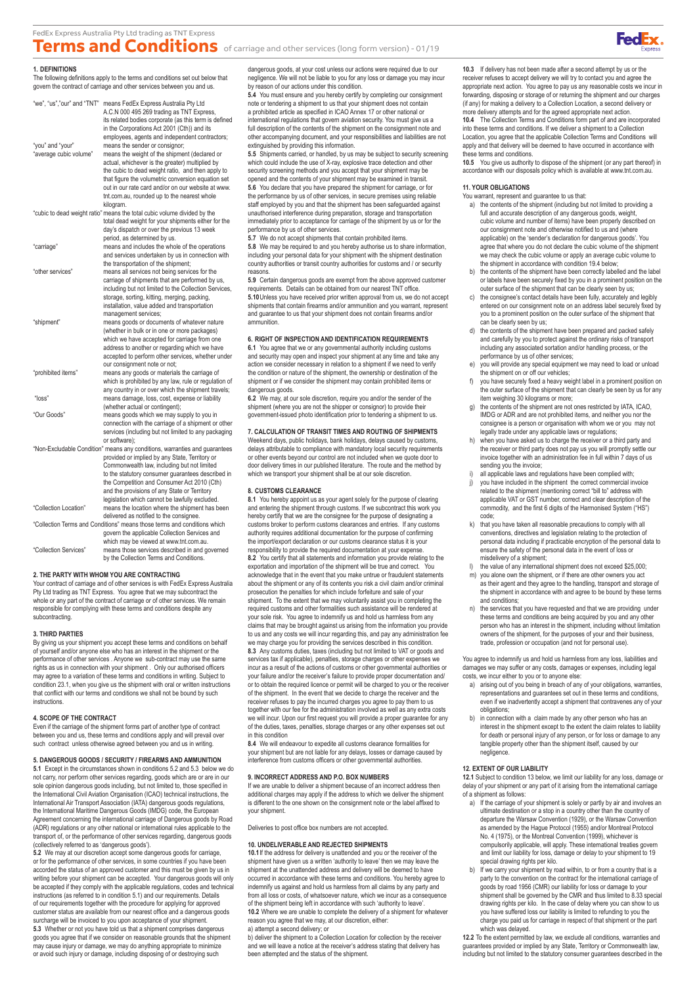

#### **1. DEFINITIONS**

The following definitions apply to the terms and conditions set out below that govern the contract of carriage and other services between you and us.

| "we", "us","our" and "TNT"                                                                                                   | means FedEx Express Australia Pty Ltd<br>A.C.N 000 495 269 trading as TNT Express,<br>its related bodies corporate (as this term is defined<br>in the Corporations Act 2001 (Cth)) and its |
|------------------------------------------------------------------------------------------------------------------------------|--------------------------------------------------------------------------------------------------------------------------------------------------------------------------------------------|
| "you" and "your"<br>"average cubic volume"                                                                                   | employees, agents and independent contractors;<br>means the sender or consignor;<br>means the weight of the shipment (declared or                                                          |
|                                                                                                                              | actual, whichever is the greater) multiplied by<br>the cubic to dead weight ratio, and then apply to                                                                                       |
|                                                                                                                              | that figure the volumetric conversion equation set<br>out in our rate card and/or on our website at www.<br>tnt.com.au, rounded up to the nearest whole                                    |
|                                                                                                                              | kilogram.                                                                                                                                                                                  |
|                                                                                                                              | "cubic to dead weight ratio" means the total cubic volume divided by the<br>total dead weight for your shipments either for the                                                            |
|                                                                                                                              | day's dispatch or over the previous 13 week                                                                                                                                                |
|                                                                                                                              | period, as determined by us.                                                                                                                                                               |
| "carriage"                                                                                                                   | means and includes the whole of the operations                                                                                                                                             |
|                                                                                                                              | and services undertaken by us in connection with<br>the transportation of the shipment;                                                                                                    |
| "other services"                                                                                                             | means all services not being services for the                                                                                                                                              |
|                                                                                                                              | carriage of shipments that are performed by us,                                                                                                                                            |
|                                                                                                                              | including but not limited to the Collection Services,                                                                                                                                      |
|                                                                                                                              | storage, sorting, kitting, merging, packing,                                                                                                                                               |
|                                                                                                                              | installation, value added and transportation                                                                                                                                               |
|                                                                                                                              | management services;                                                                                                                                                                       |
| "shipment"                                                                                                                   | means goods or documents of whatever nature                                                                                                                                                |
|                                                                                                                              | (whether in bulk or in one or more packages)<br>which we have accepted for carriage from one                                                                                               |
|                                                                                                                              | address to another or regarding which we have                                                                                                                                              |
|                                                                                                                              | accepted to perform other services, whether under                                                                                                                                          |
|                                                                                                                              | our consignment note or not;                                                                                                                                                               |
| "prohibited items"                                                                                                           | means any goods or materials the carriage of                                                                                                                                               |
|                                                                                                                              | which is prohibited by any law, rule or regulation of<br>any country in or over which the shipment travels;                                                                                |
| "loss"                                                                                                                       | means damage, loss, cost, expense or liability                                                                                                                                             |
|                                                                                                                              | (whether actual or contingent);                                                                                                                                                            |
| "Our Goods"                                                                                                                  | means goods which we may supply to you in                                                                                                                                                  |
|                                                                                                                              | connection with the carriage of a shipment or other                                                                                                                                        |
|                                                                                                                              | services (including but not limited to any packaging                                                                                                                                       |
|                                                                                                                              | or software);                                                                                                                                                                              |
| "Non-Excludable Condition" means any conditions, warranties and guarantees<br>provided or implied by any State, Territory or |                                                                                                                                                                                            |
|                                                                                                                              | Commonwealth law, including but not limited                                                                                                                                                |
|                                                                                                                              | to the statutory consumer guarantees described in                                                                                                                                          |
|                                                                                                                              | the Competition and Consumer Act 2010 (Cth)                                                                                                                                                |
|                                                                                                                              | and the provisions of any State or Territory                                                                                                                                               |
|                                                                                                                              | legislation which cannot be lawfully excluded.                                                                                                                                             |
| "Collection Location"                                                                                                        | means the location where the shipment has been                                                                                                                                             |
|                                                                                                                              | delivered as notified to the consignee.                                                                                                                                                    |
| "Collection Terms and Conditions" means those terms and conditions which                                                     |                                                                                                                                                                                            |
|                                                                                                                              | govern the applicable Collection Services and                                                                                                                                              |
|                                                                                                                              | which may be viewed at www.tnt.com.au.                                                                                                                                                     |
| "Collection Services"                                                                                                        | means those services described in and governed<br>by the Collection Terms and Conditions.                                                                                                  |

# **2. THE PARTY WITH WHOM YOU ARE CONTRACTING**

Your contract of carriage and of other services is with FedEx Express Australia Pty Ltd trading as TNT Express. You agree that we may subcontract the whole or any part of the contract of carriage or of other services. We remain responsible for complying with these terms and conditions despite any subcontracting.

## **3. THIRD PARTIES**

By giving us your shipment you accept these terms and conditions on behalf of yourself and/or anyone else who has an interest in the shipment or the performance of other services . Anyone we sub-contract may use the same rights as us in connection with your shipment . Only our authorised officers may agree to a variation of these terms and conditions in writing. Subject to condition 23.1, when you give us the shipment with oral or written instructions that conflict with our terms and conditions we shall not be bound by such instructions.

#### **4. SCOPE OF THE CONTRACT**

Even if the carriage of the shipment forms part of another type of contract between you and us, these terms and conditions apply and will prevail over such contract unless otherwise agreed between you and us in writing.

# **5. DANGEROUS GOODS / SECURITY / FIREARMS AND AMMUNITION**

**5.1** Except in the circumstances shown in conditions 5.2 and 5.3 below we do not carry, nor perform other services regarding, goods which are or are in our sole opinion dangerous goods including, but not limited to, those specified in<br>the International Civil Aviation Organisation (ICAO) technical instructions, the<br>International Air Transport Association (IATA) dangerous goods Agreement concerning the international carriage of Dangerous goods by Road (ADR) regulations or any other national or international rules applicable to the transport of, or the performance of other services regarding, dangerous goods (collectively referred to as 'dangerous goods').

**5.2** We may at our discretion accept some dangerous goods for carriage, or for the performance of other services, in some countries if you have been accorded the status of an approved customer and this must be given by us in writing before your shipment can be accepted. Your dangerous goods will only be accepted if they comply with the applicable regulations, codes and technical instructions (as referred to in condition 5.1) and our requirements. Details of our requirements together with the procedure for applying for approved customer status are available from our nearest office and a dangerous goods surcharge will be invoiced to you upon acceptance of your shipment. **5.3** Whether or not you have told us that a shipment comprises dangerous goods you agree that if we consider on reasonable grounds that the shipment may cause injury or damage, we may do anything appropriate to minimay cause injury or damage, we may do anything appropriate to mini or avoid such injury or damage, including disposing of or destroying such

dangerous goods, at your cost unless our actions were required due to our negligence. We will not be liable to you for any loss or damage you may incur by reason of our actions under this condition.

**5.4** You must ensure and you hereby certify by completing our consignment note or tendering a shipment to us that your shipment does not contain a prohibited article as specified in ICAO Annex 17 or other national or international regulations that govern aviation security. You must give us a full description of the contents of the shipment on the consignment note and other accompanying document, and your responsibilities and liabilities are not extinguished by providing this information.

**5.5** Shipments carried, or handled, by us may be subject to security screening which could include the use of X-ray, explosive trace detection and other security screening methods and you accept that your shipment may be opened and the contents of your shipment may be examined in transit. **5.6** You declare that you have prepared the shipment for carriage, or for the performance by us of other services, in secure premises using reliable staff employed by you and that the shipment has been safeguarded against unauthorised interference during preparation, storage and transportation immediately prior to acceptance for carriage of the shipment by us or for the performance by us of other services.

**5.7** We do not accept shipments that contain prohibited items. **5.8** We may be required to and you hereby authorise us to share information, including your personal data for your shipment with the shipment destination country authorities or transit country authorities for customs and / or security

reasons. **5.9** Certain dangerous goods are exempt from the above approved customer requirements. Details can be obtained from our nearest TNT office. **5.10**Unless you have received prior written approval from us, we do not accept shipments that contain firearms and/or ammunition and you warrant, represent and guarantee to us that your shipment does not contain firearms and/or ammunition.

# **6. RIGHT OF INSPECTION AND IDENTIFICATION REQUIREMENTS**

**6.1** You agree that we or any governmental authority including customs. and security may open and inspect your shipment at any time and take any action we consider necessary in relation to a shipment if we need to verify the condition or nature of the shipment, the ownership or destination of the shipment or if we consider the shipment may contain prohibited items or dangerous goods.

**6.2** We may, at our sole discretion, require you and/or the sender of the shipment (where you are not the shipper or consignor) to provide their government-issued photo identification prior to tendering a shipment to us.

**7. CALCULATION OF TRANSIT TIMES AND ROUTING OF SHIPMENTS** Weekend days, public holidays, bank holidays, delays caused by customs, delays attributable to compliance with mandatory local security requirements or other events beyond our control are not included when we quote door to door delivery times in our published literature. The route and the method by which we transport your shipment shall be at our sole discretion.

#### **8. CUSTOMS CLEARANCE**

**8.1** You hereby appoint us as your agent solely for the purpose of clearing and entering the shipment through customs. If we subcontract this work you hereby certify that we are the consignee for the purpose of designating a customs broker to perform customs clearances and entries. If any customs authority requires additional documentation for the purpose of confirming the import/export declaration or our customs clearance status it is your responsibility to provide the required documentation at your expense. **8.2** You certify that all statements and information you provide relating to the exportation and importation of the shipment will be true and correct. You acknowledge that in the event that you make untrue or fraudulent statements about the shipment or any of its contents you risk a civil claim and/or criminal prosecution the penalties for which include forfeiture and sale of your shipment. To the extent that we may voluntarily assist you in completing the required customs and other formalities such assistance will be rendered at your sole risk. You agree to indemnify us and hold us harmless from any claims that may be brought against us arising from the information you provide to us and any costs we will incur regarding this, and pay any administration fee we may charge you for providing the services described in this condition. **8.3** Any customs duties, taxes (including but not limited to VAT or goods and services tax if applicable), penalties, storage charges or other expenses we incur as a result of the actions of customs or other governmental authorities or your failure and/or the receiver's failure to provide proper documentation and/ or to obtain the required licence or permit will be charged to you or the receiver of the shipment. In the event that we decide to charge the receiver and the receiver refuses to pay the incurred charges you agree to pay them to us together with our fee for the administration involved as well as any extra costs we will incur. Upon our first request you will provide a proper guarantee for any of the duties, taxes, penalties, storage charges or any other expenses set out in this condition

**8.4** We will endeavour to expedite all customs clearance formalities for your shipment but are not liable for any delays, losses or damage caused by interference from customs officers or other governmental authorities.

### **9. INCORRECT ADDRESS AND P.O. BOX NUMBERS**

If we are unable to deliver a shipment because of an incorrect address then additional charges may apply if the address to which we deliver the shipment is different to the one shown on the consignment note or the label affixed to your shipment.

Deliveries to post office box numbers are not accepted.

## **10. UNDELIVERABLE AND REJECTED SHIPMENTS**

**10.1**If the address for delivery is unattended and you or the receiver of the shipment have given us a written 'authority to leave' then we may leave the shipment at the unattended address and delivery will be deemed to have occurred in accordance with these terms and conditions. You hereby agree to indemnify us against and hold us harmless from all claims by any party and from all loss or costs, of whatsoever nature, which we incur as a consequence of the shipment being left in accordance with such 'authority to leave'. **10.2** Where we are unable to complete the delivery of a shipment for whatever reason you agree that we may, at our discretion, either: a) attempt a second delivery; or

b) deliver the shipment to a Collection Location for collection by the receiver and we will leave a notice at the receiver's address stating that delivery has been attempted and the status of the shipment.

**10.3** If delivery has not been made after a second attempt by us or the receiver refuses to accept delivery we will try to contact you and agree the appropriate next action. You agree to pay us any reasonable costs we incur in forwarding, disposing or storage of or returning the shipment and our charges (if any) for making a delivery to a Collection Location, a second delivery or more delivery attempts and for the agreed appropriate next action. **10.4** The Collection Terms and Conditions form part of and are incorporated into these terms and conditions. If we deliver a shipment to a Collection Location, you agree that the applicable Collection Terms and Conditions will

apply and that delivery will be deemed to have occurred in accordance with the terms and conditions. **10.5** You give us authority to dispose of the shipment (or any part thereof) in accordance with our disposals policy which is available at www.tnt.com.au.

# **11. YOUR OBLIGATIONS**

You warrant, represent and guarantee to us that:

- a) the contents of the shipment (including but not limited to providing a full and accurate description of any dangerous goods, weight, cubic volume and number of items) have been properly described on our consignment note and otherwise notified to us and (where applicable) on the 'sender's declaration for dangerous goods'. You agree that where you do not declare the cubic volume of the shipment we may check the cubic volume or apply an average cubic volume to the shipment in accordance with condition 19.4 below;
- b) the contents of the shipment have been correctly labelled and the label or labels have been securely fixed by you in a prominent position on the outer surface of the shipment that can be clearly seen by us;
- c) the consignee's contact details have been fully, accurately and legibly entered on our consignment note on an address label securely fixed by you to a prominent position on the outer surface of the shipment that can be clearly seen by us;
- the contents of the shipment have been prepared and packed safely and carefully by you to protect against the ordinary risks of transport including any associated sortation and/or handling process, or the performance by us of other services;
- e) you will provide any special equipment we may need to load or unload the shipment on or off our vehicles;
- f) you have securely fixed a heavy weight label in a prominent position on the outer surface of the shipment that can clearly be seen by us for any item weighing 30 kilograms or more;
- g) the contents of the shipment are not ones restricted by IATA, ICAO, IMDG or ADR and are not prohibited items, and neither you nor the consignee is a person or organisation with whom we or you may not legally trade under any applicable laws or regulations;
- when you have asked us to charge the receiver or a third party and the receiver or third party does not pay us you will promptly settle our invoice together with an administration fee in full within 7 days of us sending you the invoice;
- all applicable laws and regulations have been complied with:
- j) you have included in the shipment the correct commercial invoice related to the shipment (mentioning correct "bill to" address with applicable VAT or GST number, correct and clear description of the commodity, and the first 6 digits of the Harmonised System ("HS") code;
- k) that you have taken all reasonable precautions to comply with all conventions, directives and legislation relating to the protection of personal data including if practicable encryption of the personal data to ensure the safety of the personal data in the event of loss or misdelivery of a shipment;
- the value of any international shipment does not exceed \$25,000; m) you alone own the shipment, or if there are other owners you act
- as their agent and they agree to the handling, transport and storage of the shipment in accordance with and agree to be bound by these terms and conditions;
- n) the services that you have requested and that we are providing under these terms and conditions are being acquired by you and any other person who has an interest in the shipment, including without limitation owners of the shipment, for the purposes of your and their business, trade, profession or occupation (and not for personal use).

You agree to indemnify us and hold us harmless from any loss, liabilities and damages we may suffer or any costs, damages or expenses, including legal costs, we incur either to you or to anyone else:

- a) arising out of you being in breach of any of your obligations, warranties, representations and guarantees set out in these terms and conditions, even if we inadvertently accept a shipment that contravenes any of your obligations;
- in connection with a claim made by any other person who has an interest in the shipment except to the extent the claim relates to liability for death or personal injury of any person, or for loss or damage to any tangible property other than the shipment itself, caused by our negligence.

## **12. EXTENT OF OUR LIABILITY**

**12.1** Subject to condition 13 below, we limit our liability for any loss, damage or delay of your shipment or any part of it arising from the international carriage nent as follows

- a) If the carriage of your shipment is solely or partly by air and involves an ultimate destination or a stop in a country other than the country of departure the Warsaw Convention (1929), or the Warsaw Convention as amended by the Hague Protocol (1955) and/or Montreal Protocol No. 4 (1975), or the Montreal Convention (1999), whichever is compulsorily applicable, will apply. These international treaties govern and limit our liability for loss, damage or delay to your shipment to 19 special drawing rights per kilo.
- b) If we carry your shipment by road within, to or from a country that is a party to the convention on the contract for the international carriage of goods by road 1956 (CMR) our liability for loss or damage to your shipment shall be governed by the CMR and thus limited to 8.33 special drawing rights per kilo. In the case of delay where you can show to us you have suffered loss our liability is limited to refunding to you the charge you paid us for carriage in respect of that shipment or the part which was delayed.

**12.2** To the extent permitted by law, we exclude all conditions, warranties and guarantees provided or implied by any State, Territory or Commonwealth law, including but not limited to the statutory consumer guarantees described in the